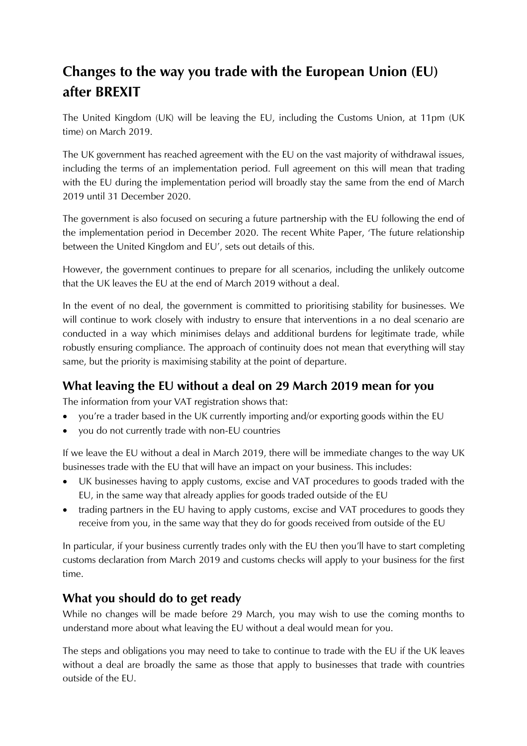## **Changes to the way you trade with the European Union (EU) after BREXIT**

The United Kingdom (UK) will be leaving the EU, including the Customs Union, at 11pm (UK time) on March 2019.

The UK government has reached agreement with the EU on the vast majority of withdrawal issues, including the terms of an implementation period. Full agreement on this will mean that trading with the EU during the implementation period will broadly stay the same from the end of March 2019 until 31 December 2020.

The government is also focused on securing a future partnership with the EU following the end of the implementation period in December 2020. The recent White Paper, 'The future relationship between the United Kingdom and EU', sets out details of this.

However, the government continues to prepare for all scenarios, including the unlikely outcome that the UK leaves the EU at the end of March 2019 without a deal.

In the event of no deal, the government is committed to prioritising stability for businesses. We will continue to work closely with industry to ensure that interventions in a no deal scenario are conducted in a way which minimises delays and additional burdens for legitimate trade, while robustly ensuring compliance. The approach of continuity does not mean that everything will stay same, but the priority is maximising stability at the point of departure.

## **What leaving the EU without a deal on 29 March 2019 mean for you**

The information from your VAT registration shows that:

- you're a trader based in the UK currently importing and/or exporting goods within the EU
- you do not currently trade with non-EU countries

If we leave the EU without a deal in March 2019, there will be immediate changes to the way UK businesses trade with the EU that will have an impact on your business. This includes:

- UK businesses having to apply customs, excise and VAT procedures to goods traded with the EU, in the same way that already applies for goods traded outside of the EU
- trading partners in the EU having to apply customs, excise and VAT procedures to goods they receive from you, in the same way that they do for goods received from outside of the EU

In particular, if your business currently trades only with the EU then you'll have to start completing customs declaration from March 2019 and customs checks will apply to your business for the first time.

## **What you should do to get ready**

While no changes will be made before 29 March, you may wish to use the coming months to understand more about what leaving the EU without a deal would mean for you.

The steps and obligations you may need to take to continue to trade with the EU if the UK leaves without a deal are broadly the same as those that apply to businesses that trade with countries outside of the EU.